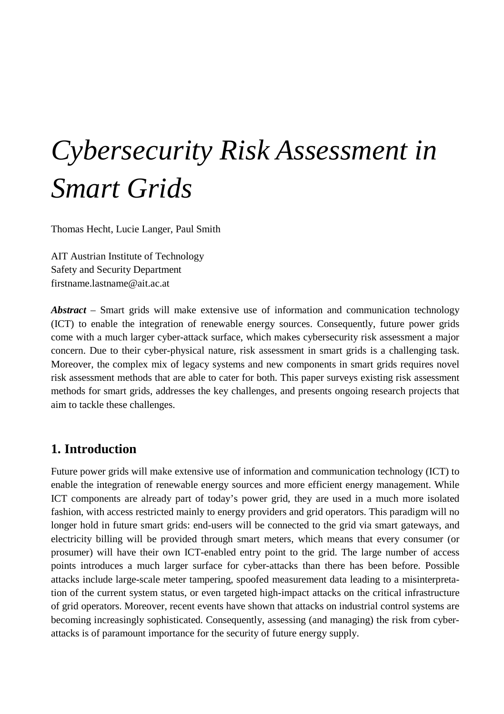# *Cybersecurity Risk Assessment in Smart Grids*

Thomas Hecht, Lucie Langer, Paul Smith

AIT Austrian Institute of Technology Safety and Security Department firstname.lastname@ait.ac.at

*Abstract* – Smart grids will make extensive use of information and communication technology (ICT) to enable the integration of renewable energy sources. Consequently, future power grids come with a much larger cyber-attack surface, which makes cybersecurity risk assessment a major concern. Due to their cyber-physical nature, risk assessment in smart grids is a challenging task. Moreover, the complex mix of legacy systems and new components in smart grids requires novel risk assessment methods that are able to cater for both. This paper surveys existing risk assessment methods for smart grids, addresses the key challenges, and presents ongoing research projects that aim to tackle these challenges.

## **1. Introduction**

Future power grids will make extensive use of information and communication technology (ICT) to enable the integration of renewable energy sources and more efficient energy management. While ICT components are already part of today's power grid, they are used in a much more isolated fashion, with access restricted mainly to energy providers and grid operators. This paradigm will no longer hold in future smart grids: end-users will be connected to the grid via smart gateways, and electricity billing will be provided through smart meters, which means that every consumer (or prosumer) will have their own ICT-enabled entry point to the grid. The large number of access points introduces a much larger surface for cyber-attacks than there has been before. Possible attacks include large-scale meter tampering, spoofed measurement data leading to a misinterpretation of the current system status, or even targeted high-impact attacks on the critical infrastructure of grid operators. Moreover, recent events have shown that attacks on industrial control systems are becoming increasingly sophisticated. Consequently, assessing (and managing) the risk from cyberattacks is of paramount importance for the security of future energy supply.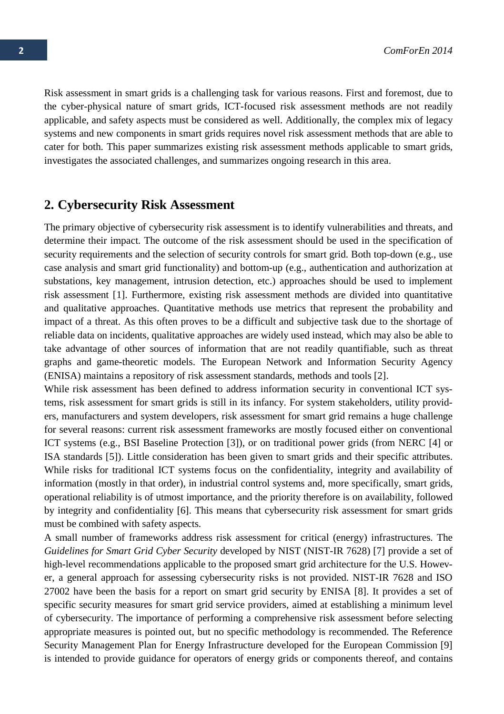Risk assessment in smart grids is a challenging task for various reasons. First and foremost, due to the cyber-physical nature of smart grids, ICT-focused risk assessment methods are not readily applicable, and safety aspects must be considered as well. Additionally, the complex mix of legacy systems and new components in smart grids requires novel risk assessment methods that are able to cater for both. This paper summarizes existing risk assessment methods applicable to smart grids, investigates the associated challenges, and summarizes ongoing research in this area.

## **2. Cybersecurity Risk Assessment**

The primary objective of cybersecurity risk assessment is to identify vulnerabilities and threats, and determine their impact. The outcome of the risk assessment should be used in the specification of security requirements and the selection of security controls for smart grid. Both top-down (e.g., use case analysis and smart grid functionality) and bottom-up (e.g., authentication and authorization at substations, key management, intrusion detection, etc.) approaches should be used to implement risk assessment [1]. Furthermore, existing risk assessment methods are divided into quantitative and qualitative approaches. Quantitative methods use metrics that represent the probability and impact of a threat. As this often proves to be a difficult and subjective task due to the shortage of reliable data on incidents, qualitative approaches are widely used instead, which may also be able to take advantage of other sources of information that are not readily quantifiable, such as threat graphs and game-theoretic models. The European Network and Information Security Agency (ENISA) maintains a repository of risk assessment standards, methods and tools [2].

While risk assessment has been defined to address information security in conventional ICT systems, risk assessment for smart grids is still in its infancy. For system stakeholders, utility providers, manufacturers and system developers, risk assessment for smart grid remains a huge challenge for several reasons: current risk assessment frameworks are mostly focused either on conventional ICT systems (e.g., BSI Baseline Protection [3]), or on traditional power grids (from NERC [4] or ISA standards [5]). Little consideration has been given to smart grids and their specific attributes. While risks for traditional ICT systems focus on the confidentiality, integrity and availability of information (mostly in that order), in industrial control systems and, more specifically, smart grids, operational reliability is of utmost importance, and the priority therefore is on availability, followed by integrity and confidentiality [6]. This means that cybersecurity risk assessment for smart grids must be combined with safety aspects.

A small number of frameworks address risk assessment for critical (energy) infrastructures. The *Guidelines for Smart Grid Cyber Security* developed by NIST (NIST-IR 7628) [7] provide a set of high-level recommendations applicable to the proposed smart grid architecture for the U.S. However, a general approach for assessing cybersecurity risks is not provided. NIST-IR 7628 and ISO 27002 have been the basis for a report on smart grid security by ENISA [8]. It provides a set of specific security measures for smart grid service providers, aimed at establishing a minimum level of cybersecurity. The importance of performing a comprehensive risk assessment before selecting appropriate measures is pointed out, but no specific methodology is recommended. The Reference Security Management Plan for Energy Infrastructure developed for the European Commission [9] is intended to provide guidance for operators of energy grids or components thereof, and contains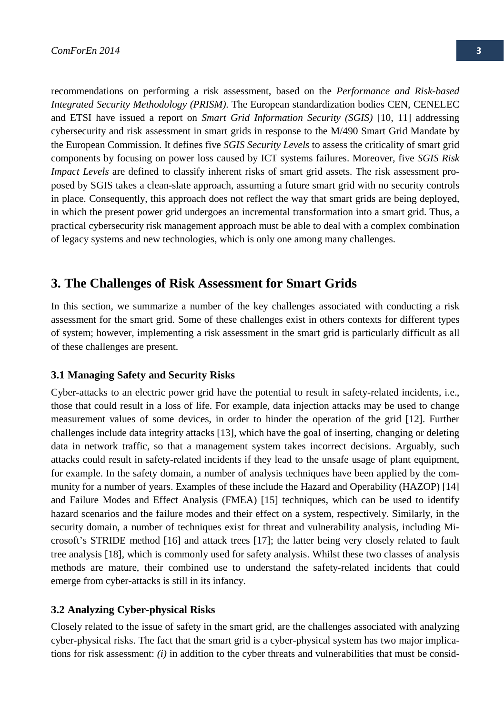recommendations on performing a risk assessment, based on the *Performance and Risk-based Integrated Security Methodology (PRISM)*. The European standardization bodies CEN, CENELEC and ETSI have issued a report on *Smart Grid Information Security (SGIS)* [10, 11] addressing cybersecurity and risk assessment in smart grids in response to the M/490 Smart Grid Mandate by the European Commission. It defines five *SGIS Security Levels* to assess the criticality of smart grid components by focusing on power loss caused by ICT systems failures. Moreover, five *SGIS Risk Impact Levels* are defined to classify inherent risks of smart grid assets. The risk assessment proposed by SGIS takes a clean-slate approach, assuming a future smart grid with no security controls in place. Consequently, this approach does not reflect the way that smart grids are being deployed, in which the present power grid undergoes an incremental transformation into a smart grid. Thus, a practical cybersecurity risk management approach must be able to deal with a complex combination of legacy systems and new technologies, which is only one among many challenges.

### <span id="page-2-0"></span>**3. The Challenges of Risk Assessment for Smart Grids**

In this section, we summarize a number of the key challenges associated with conducting a risk assessment for the smart grid. Some of these challenges exist in others contexts for different types of system; however, implementing a risk assessment in the smart grid is particularly difficult as all of these challenges are present.

#### **3.1 Managing Safety and Security Risks**

Cyber-attacks to an electric power grid have the potential to result in safety-related incidents, i.e., those that could result in a loss of life. For example, data injection attacks may be used to change measurement values of some devices, in order to hinder the operation of the grid [12]. Further challenges include data integrity attacks [13], which have the goal of inserting, changing or deleting data in network traffic, so that a management system takes incorrect decisions. Arguably, such attacks could result in safety-related incidents if they lead to the unsafe usage of plant equipment, for example. In the safety domain, a number of analysis techniques have been applied by the community for a number of years. Examples of these include the Hazard and Operability (HAZOP) [14] and Failure Modes and Effect Analysis (FMEA) [15] techniques, which can be used to identify hazard scenarios and the failure modes and their effect on a system, respectively. Similarly, in the security domain, a number of techniques exist for threat and vulnerability analysis, including Microsoft's STRIDE method [16] and attack trees [17]; the latter being very closely related to fault tree analysis [18], which is commonly used for safety analysis. Whilst these two classes of analysis methods are mature, their combined use to understand the safety-related incidents that could emerge from cyber-attacks is still in its infancy.

#### **3.2 Analyzing Cyber-physical Risks**

Closely related to the issue of safety in the smart grid, are the challenges associated with analyzing cyber-physical risks. The fact that the smart grid is a cyber-physical system has two major implications for risk assessment: *(i)* in addition to the cyber threats and vulnerabilities that must be consid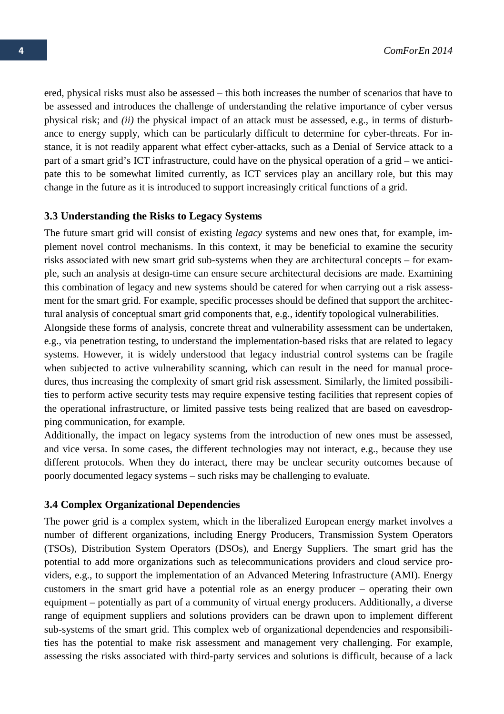ered, physical risks must also be assessed – this both increases the number of scenarios that have to be assessed and introduces the challenge of understanding the relative importance of cyber versus physical risk; and *(ii)* the physical impact of an attack must be assessed, e.g., in terms of disturbance to energy supply, which can be particularly difficult to determine for cyber-threats. For instance, it is not readily apparent what effect cyber-attacks, such as a Denial of Service attack to a part of a smart grid's ICT infrastructure, could have on the physical operation of a grid – we anticipate this to be somewhat limited currently, as ICT services play an ancillary role, but this may change in the future as it is introduced to support increasingly critical functions of a grid.

#### **3.3 Understanding the Risks to Legacy Systems**

The future smart grid will consist of existing *legacy* systems and new ones that, for example, implement novel control mechanisms. In this context, it may be beneficial to examine the security risks associated with new smart grid sub-systems when they are architectural concepts – for example, such an analysis at design-time can ensure secure architectural decisions are made. Examining this combination of legacy and new systems should be catered for when carrying out a risk assessment for the smart grid. For example, specific processes should be defined that support the architectural analysis of conceptual smart grid components that, e.g., identify topological vulnerabilities.

Alongside these forms of analysis, concrete threat and vulnerability assessment can be undertaken, e.g., via penetration testing, to understand the implementation-based risks that are related to legacy systems. However, it is widely understood that legacy industrial control systems can be fragile when subjected to active vulnerability scanning, which can result in the need for manual procedures, thus increasing the complexity of smart grid risk assessment. Similarly, the limited possibilities to perform active security tests may require expensive testing facilities that represent copies of the operational infrastructure, or limited passive tests being realized that are based on eavesdropping communication, for example.

Additionally, the impact on legacy systems from the introduction of new ones must be assessed, and vice versa. In some cases, the different technologies may not interact, e.g., because they use different protocols. When they do interact, there may be unclear security outcomes because of poorly documented legacy systems – such risks may be challenging to evaluate.

#### **3.4 Complex Organizational Dependencies**

The power grid is a complex system, which in the liberalized European energy market involves a number of different organizations, including Energy Producers, Transmission System Operators (TSOs), Distribution System Operators (DSOs), and Energy Suppliers. The smart grid has the potential to add more organizations such as telecommunications providers and cloud service providers, e.g., to support the implementation of an Advanced Metering Infrastructure (AMI). Energy customers in the smart grid have a potential role as an energy producer – operating their own equipment – potentially as part of a community of virtual energy producers. Additionally, a diverse range of equipment suppliers and solutions providers can be drawn upon to implement different sub-systems of the smart grid. This complex web of organizational dependencies and responsibilities has the potential to make risk assessment and management very challenging. For example, assessing the risks associated with third-party services and solutions is difficult, because of a lack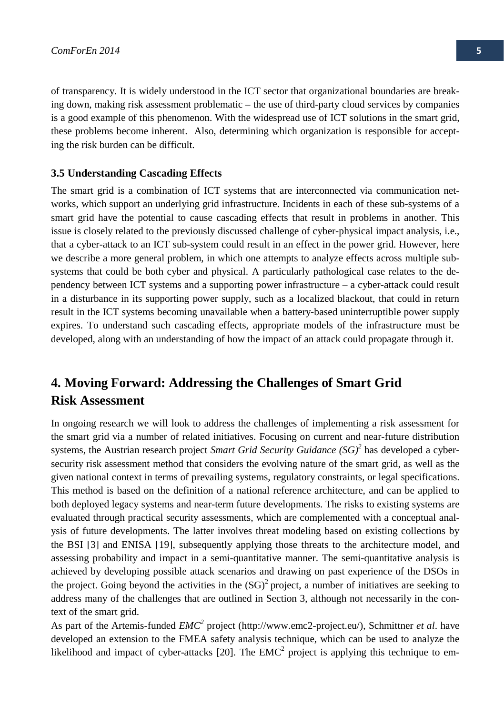of transparency. It is widely understood in the ICT sector that organizational boundaries are breaking down, making risk assessment problematic – the use of third-party cloud services by companies is a good example of this phenomenon. With the widespread use of ICT solutions in the smart grid, these problems become inherent. Also, determining which organization is responsible for accepting the risk burden can be difficult.

#### **3.5 Understanding Cascading Effects**

The smart grid is a combination of ICT systems that are interconnected via communication networks, which support an underlying grid infrastructure. Incidents in each of these sub-systems of a smart grid have the potential to cause cascading effects that result in problems in another. This issue is closely related to the previously discussed challenge of cyber-physical impact analysis, i.e., that a cyber-attack to an ICT sub-system could result in an effect in the power grid. However, here we describe a more general problem, in which one attempts to analyze effects across multiple subsystems that could be both cyber and physical. A particularly pathological case relates to the dependency between ICT systems and a supporting power infrastructure – a cyber-attack could result in a disturbance in its supporting power supply, such as a localized blackout, that could in return result in the ICT systems becoming unavailable when a battery-based uninterruptible power supply expires. To understand such cascading effects, appropriate models of the infrastructure must be developed, along with an understanding of how the impact of an attack could propagate through it.

# **4. Moving Forward: Addressing the Challenges of Smart Grid Risk Assessment**

In ongoing research we will look to address the challenges of implementing a risk assessment for the smart grid via a number of related initiatives. Focusing on current and near-future distribution systems, the Austrian research project *Smart Grid Security Guidance (SG)2* has developed a cybersecurity risk assessment method that considers the evolving nature of the smart grid, as well as the given national context in terms of prevailing systems, regulatory constraints, or legal specifications. This method is based on the definition of a national reference architecture, and can be applied to both deployed legacy systems and near-term future developments. The risks to existing systems are evaluated through practical security assessments, which are complemented with a conceptual analysis of future developments. The latter involves threat modeling based on existing collections by the BSI [3] and ENISA [19], subsequently applying those threats to the architecture model, and assessing probability and impact in a semi-quantitative manner. The semi-quantitative analysis is achieved by developing possible attack scenarios and drawing on past experience of the DSOs in the project. Going beyond the activities in the  $(SG)^2$  project, a number of initiatives are seeking to address many of the challenges that are outlined in Section [3,](#page-2-0) although not necessarily in the context of the smart grid.

As part of the Artemis-funded *EMC2* project (http://www.emc2-project.eu/), Schmittner *et al*. have developed an extension to the FMEA safety analysis technique, which can be used to analyze the likelihood and impact of cyber-attacks [20]. The  $EMC<sup>2</sup>$  project is applying this technique to em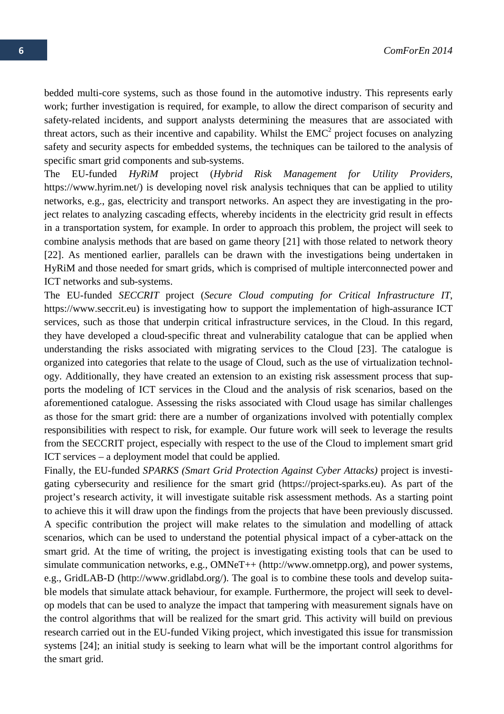bedded multi-core systems, such as those found in the automotive industry. This represents early work; further investigation is required, for example, to allow the direct comparison of security and safety-related incidents, and support analysts determining the measures that are associated with threat actors, such as their incentive and capability. Whilst the  $EMC<sup>2</sup>$  project focuses on analyzing safety and security aspects for embedded systems, the techniques can be tailored to the analysis of specific smart grid components and sub-systems.

The EU-funded *HyRiM* project (*Hybrid Risk Management for Utility Providers*, https://www.hyrim.net/) is developing novel risk analysis techniques that can be applied to utility networks, e.g., gas, electricity and transport networks. An aspect they are investigating in the project relates to analyzing cascading effects, whereby incidents in the electricity grid result in effects in a transportation system, for example. In order to approach this problem, the project will seek to combine analysis methods that are based on game theory [21] with those related to network theory [22]. As mentioned earlier, parallels can be drawn with the investigations being undertaken in HyRiM and those needed for smart grids, which is comprised of multiple interconnected power and ICT networks and sub-systems.

The EU-funded *SECCRIT* project (*Secure Cloud computing for Critical Infrastructure IT*, https://www.seccrit.eu) is investigating how to support the implementation of high-assurance ICT services, such as those that underpin critical infrastructure services, in the Cloud. In this regard, they have developed a cloud-specific threat and vulnerability catalogue that can be applied when understanding the risks associated with migrating services to the Cloud [23]. The catalogue is organized into categories that relate to the usage of Cloud, such as the use of virtualization technology. Additionally, they have created an extension to an existing risk assessment process that supports the modeling of ICT services in the Cloud and the analysis of risk scenarios, based on the aforementioned catalogue. Assessing the risks associated with Cloud usage has similar challenges as those for the smart grid: there are a number of organizations involved with potentially complex responsibilities with respect to risk, for example. Our future work will seek to leverage the results from the SECCRIT project, especially with respect to the use of the Cloud to implement smart grid ICT services – a deployment model that could be applied.

Finally, the EU-funded *SPARKS (Smart Grid Protection Against Cyber Attacks)* project is investigating cybersecurity and resilience for the smart grid (https://project-sparks.eu). As part of the project's research activity, it will investigate suitable risk assessment methods. As a starting point to achieve this it will draw upon the findings from the projects that have been previously discussed. A specific contribution the project will make relates to the simulation and modelling of attack scenarios, which can be used to understand the potential physical impact of a cyber-attack on the smart grid. At the time of writing, the project is investigating existing tools that can be used to simulate communication networks, e.g., OMNeT++ (http://www.omnetpp.org), and power systems, e.g., GridLAB-D (http://www.gridlabd.org/). The goal is to combine these tools and develop suitable models that simulate attack behaviour, for example. Furthermore, the project will seek to develop models that can be used to analyze the impact that tampering with measurement signals have on the control algorithms that will be realized for the smart grid. This activity will build on previous research carried out in the EU-funded Viking project, which investigated this issue for transmission systems [24]; an initial study is seeking to learn what will be the important control algorithms for the smart grid.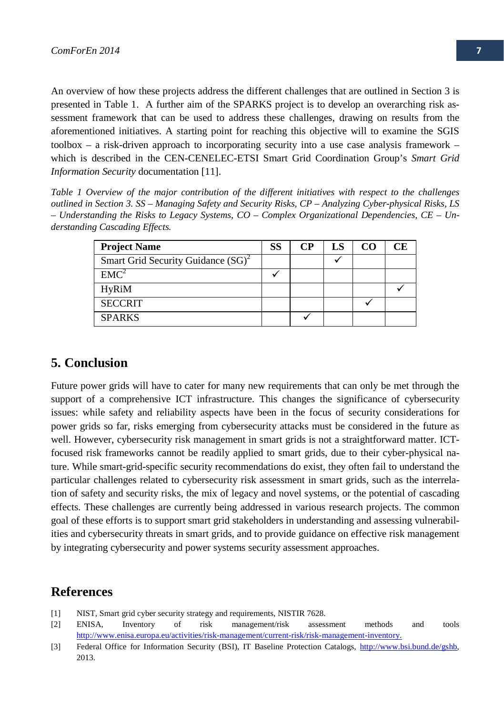An overview of how these projects address the different challenges that are outlined in Sectio[n 3](#page-2-0) is presented in [Table 1.](#page-6-0) A further aim of the SPARKS project is to develop an overarching risk assessment framework that can be used to address these challenges, drawing on results from the aforementioned initiatives. A starting point for reaching this objective will to examine the SGIS toolbox – a risk-driven approach to incorporating security into a use case analysis framework – which is described in the CEN-CENELEC-ETSI Smart Grid Coordination Group's *Smart Grid Information Security* documentation [11].

<span id="page-6-0"></span>*Table 1 Overview of the major contribution of the different initiatives with respect to the challenges outlined in Section [3.](#page-2-0) SS – Managing Safety and Security Risks, CP – Analyzing Cyber-physical Risks, LS – Understanding the Risks to Legacy Systems, CO – Complex Organizational Dependencies, CE – Understanding Cascading Effects.* 

| <b>Project Name</b>                   | SS | <b>CP</b> | LS | CО | CЕ |
|---------------------------------------|----|-----------|----|----|----|
| Smart Grid Security Guidance $(SG)^2$ |    |           |    |    |    |
| EMC <sup>2</sup>                      |    |           |    |    |    |
| <b>HyRiM</b>                          |    |           |    |    |    |
| <b>SECCRIT</b>                        |    |           |    |    |    |
| <b>SPARKS</b>                         |    |           |    |    |    |

## **5. Conclusion**

Future power grids will have to cater for many new requirements that can only be met through the support of a comprehensive ICT infrastructure. This changes the significance of cybersecurity issues: while safety and reliability aspects have been in the focus of security considerations for power grids so far, risks emerging from cybersecurity attacks must be considered in the future as well. However, cybersecurity risk management in smart grids is not a straightforward matter. ICTfocused risk frameworks cannot be readily applied to smart grids, due to their cyber-physical nature. While smart-grid-specific security recommendations do exist, they often fail to understand the particular challenges related to cybersecurity risk assessment in smart grids, such as the interrelation of safety and security risks, the mix of legacy and novel systems, or the potential of cascading effects. These challenges are currently being addressed in various research projects. The common goal of these efforts is to support smart grid stakeholders in understanding and assessing vulnerabilities and cybersecurity threats in smart grids, and to provide guidance on effective risk management by integrating cybersecurity and power systems security assessment approaches.

## **References**

- [1] NIST, Smart grid cyber security strategy and requirements, NISTIR 7628.
- [2] ENISA, Inventory of risk management/risk assessment methods and tools [http://www.enisa.europa.eu/activities/risk-management/current-risk/risk-management-inventory.](http://www.enisa.europa.eu/activities/risk-management/current-risk/risk-management-inventory)
- [3] Federal Office for Information Security (BSI), IT Baseline Protection Catalogs, http://www.bsi.bund.de/gshb, 2013.